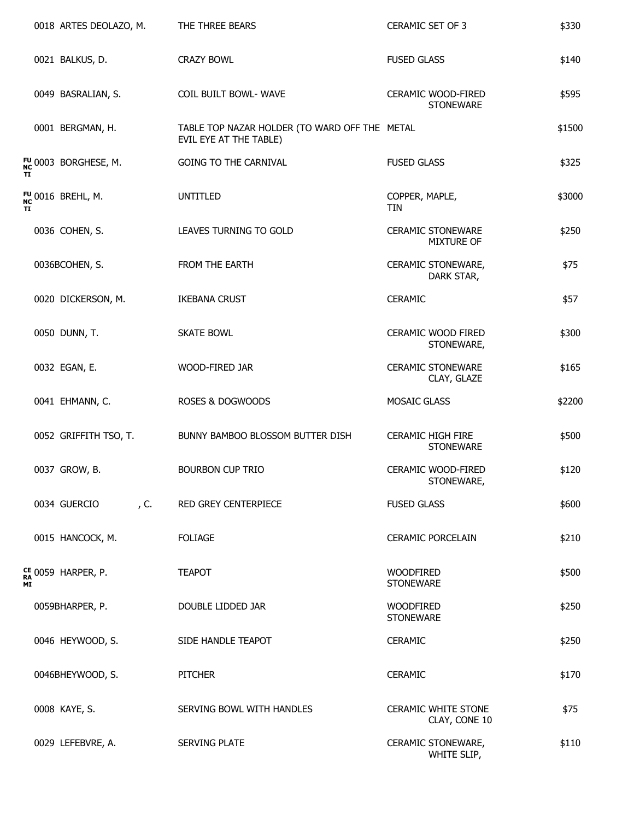|    | 0018 ARTES DEOLAZO, M.       | THE THREE BEARS                                                         | CERAMIC SET OF 3                              | \$330  |
|----|------------------------------|-------------------------------------------------------------------------|-----------------------------------------------|--------|
|    | 0021 BALKUS, D.              | <b>CRAZY BOWL</b>                                                       | <b>FUSED GLASS</b>                            | \$140  |
|    | 0049 BASRALIAN, S.           | COIL BUILT BOWL- WAVE                                                   | CERAMIC WOOD-FIRED<br><b>STONEWARE</b>        | \$595  |
|    | 0001 BERGMAN, H.             | TABLE TOP NAZAR HOLDER (TO WARD OFF THE METAL<br>EVIL EYE AT THE TABLE) |                                               | \$1500 |
|    | FU 0003 BORGHESE, M.         | <b>GOING TO THE CARNIVAL</b>                                            | <b>FUSED GLASS</b>                            | \$325  |
|    | <sup>fu</sup> 0016 Brehl, M. | <b>UNTITLED</b>                                                         | COPPER, MAPLE,<br>TIN                         | \$3000 |
|    | 0036 COHEN, S.               | LEAVES TURNING TO GOLD                                                  | <b>CERAMIC STONEWARE</b><br><b>MIXTURE OF</b> | \$250  |
|    | 0036BCOHEN, S.               | FROM THE EARTH                                                          | CERAMIC STONEWARE,<br>DARK STAR,              | \$75   |
|    | 0020 DICKERSON, M.           | <b>IKEBANA CRUST</b>                                                    | <b>CERAMIC</b>                                | \$57   |
|    | 0050 DUNN, T.                | <b>SKATE BOWL</b>                                                       | CERAMIC WOOD FIRED<br>STONEWARE,              | \$300  |
|    | 0032 EGAN, E.                | WOOD-FIRED JAR                                                          | <b>CERAMIC STONEWARE</b><br>CLAY, GLAZE       | \$165  |
|    | 0041 EHMANN, C.              | ROSES & DOGWOODS                                                        | MOSAIC GLASS                                  | \$2200 |
|    | 0052 GRIFFITH TSO, T.        | BUNNY BAMBOO BLOSSOM BUTTER DISH                                        | <b>CERAMIC HIGH FIRE</b><br><b>STONEWARE</b>  | \$500  |
|    | 0037 GROW, B.                | <b>BOURBON CUP TRIO</b>                                                 | CERAMIC WOOD-FIRED<br>STONEWARE,              | \$120  |
|    | 0034 GUERCIO<br>, C.         | RED GREY CENTERPIECE                                                    | <b>FUSED GLASS</b>                            | \$600  |
| ΜI | 0015 HANCOCK, M.             | <b>FOLIAGE</b>                                                          | <b>CERAMIC PORCELAIN</b>                      | \$210  |
|    | ce 0059 Harper, p.           | <b>TEAPOT</b>                                                           | <b>WOODFIRED</b><br><b>STONEWARE</b>          | \$500  |
|    | 0059BHARPER, P.              | DOUBLE LIDDED JAR                                                       | <b>WOODFIRED</b><br><b>STONEWARE</b>          | \$250  |
|    | 0046 HEYWOOD, S.             | SIDE HANDLE TEAPOT                                                      | <b>CERAMIC</b>                                | \$250  |
|    | 0046BHEYWOOD, S.             | <b>PITCHER</b>                                                          | <b>CERAMIC</b>                                | \$170  |
|    | 0008 KAYE, S.                | SERVING BOWL WITH HANDLES                                               | <b>CERAMIC WHITE STONE</b><br>CLAY, CONE 10   | \$75   |
|    | 0029 LEFEBVRE, A.            | SERVING PLATE                                                           | CERAMIC STONEWARE,<br>WHITE SLIP,             | \$110  |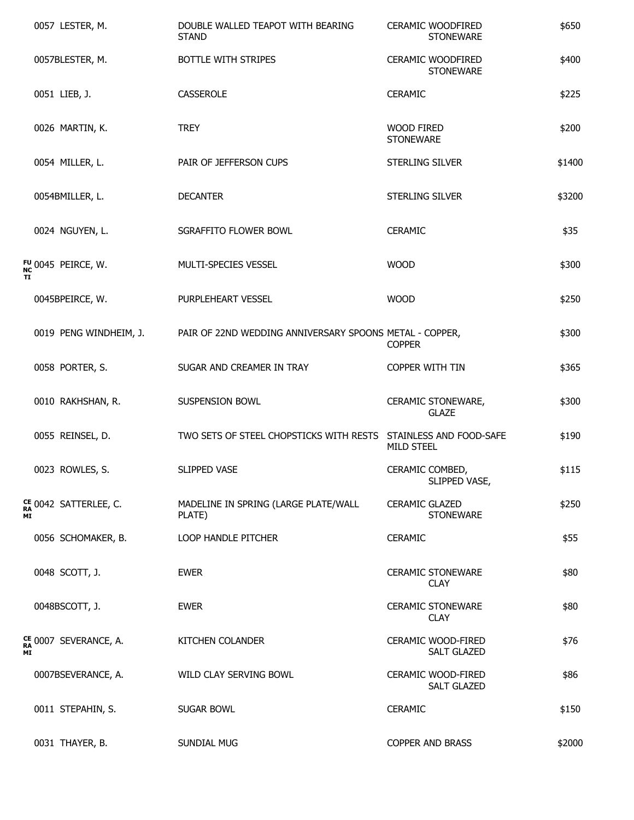|    | 0057 LESTER, M.                  | DOUBLE WALLED TEAPOT WITH BEARING<br><b>STAND</b>               | <b>CERAMIC WOODFIRED</b><br><b>STONEWARE</b> | \$650  |
|----|----------------------------------|-----------------------------------------------------------------|----------------------------------------------|--------|
|    | 0057BLESTER, M.                  | BOTTLE WITH STRIPES                                             | <b>CERAMIC WOODFIRED</b><br><b>STONEWARE</b> | \$400  |
|    | 0051 LIEB, J.                    | CASSEROLE                                                       | <b>CERAMIC</b>                               | \$225  |
|    | 0026 MARTIN, K.                  | <b>TREY</b>                                                     | <b>WOOD FIRED</b><br><b>STONEWARE</b>        | \$200  |
|    | 0054 MILLER, L.                  | PAIR OF JEFFERSON CUPS                                          | STERLING SILVER                              | \$1400 |
|    | 0054BMILLER, L.                  | <b>DECANTER</b>                                                 | STERLING SILVER                              | \$3200 |
|    | 0024 NGUYEN, L.                  | SGRAFFITO FLOWER BOWL                                           | <b>CERAMIC</b>                               | \$35   |
|    | <sup>fu</sup> 0045 Peirce, W.    | MULTI-SPECIES VESSEL                                            | <b>WOOD</b>                                  | \$300  |
|    | 0045BPEIRCE, W.                  | PURPLEHEART VESSEL                                              | <b>WOOD</b>                                  | \$250  |
|    | 0019 PENG WINDHEIM, J.           | PAIR OF 22ND WEDDING ANNIVERSARY SPOONS METAL - COPPER,         | <b>COPPER</b>                                | \$300  |
|    | 0058 PORTER, S.                  | SUGAR AND CREAMER IN TRAY                                       | COPPER WITH TIN                              | \$365  |
|    | 0010 RAKHSHAN, R.                | SUSPENSION BOWL                                                 | CERAMIC STONEWARE,<br><b>GLAZE</b>           | \$300  |
|    | 0055 REINSEL, D.                 | TWO SETS OF STEEL CHOPSTICKS WITH RESTS STAINLESS AND FOOD-SAFE | <b>MILD STEEL</b>                            | \$190  |
|    | 0023 ROWLES, S.                  | SLIPPED VASE                                                    | CERAMIC COMBED,<br>SLIPPED VASE,             | \$115  |
| ΜI | CE 0042 SATTERLEE, C.            | MADELINE IN SPRING (LARGE PLATE/WALL<br>PLATE)                  | <b>CERAMIC GLAZED</b><br><b>STONEWARE</b>    | \$250  |
|    | 0056 SCHOMAKER, B.               | LOOP HANDLE PITCHER                                             | <b>CERAMIC</b>                               | \$55   |
|    | 0048 SCOTT, J.                   | <b>EWER</b>                                                     | <b>CERAMIC STONEWARE</b><br><b>CLAY</b>      | \$80   |
|    | 0048BSCOTT, J.                   | <b>EWER</b>                                                     | <b>CERAMIC STONEWARE</b><br><b>CLAY</b>      | \$80   |
| ΜI | <sup>CE</sup> 0007 SEVERANCE, A. | KITCHEN COLANDER                                                | CERAMIC WOOD-FIRED<br><b>SALT GLAZED</b>     | \$76   |
|    | 0007BSEVERANCE, A.               | WILD CLAY SERVING BOWL                                          | CERAMIC WOOD-FIRED<br><b>SALT GLAZED</b>     | \$86   |
|    | 0011 STEPAHIN, S.                | SUGAR BOWL                                                      | <b>CERAMIC</b>                               | \$150  |
|    | 0031 THAYER, B.                  | SUNDIAL MUG                                                     | <b>COPPER AND BRASS</b>                      | \$2000 |